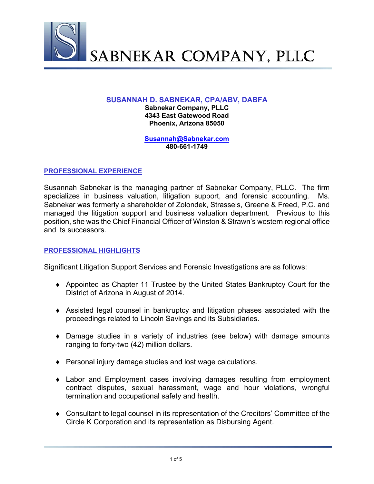

### **SUSANNAH D. SABNEKAR, CPA/ABV, DABFA**

**Sabnekar Company, PLLC 4343 East Gatewood Road Phoenix, Arizona 85050** 

#### **Susannah@Sabnekar.com 480-661-1749**

### **PROFESSIONAL EXPERIENCE**

Susannah Sabnekar is the managing partner of Sabnekar Company, PLLC. The firm specializes in business valuation, litigation support, and forensic accounting. Ms. Sabnekar was formerly a shareholder of Zolondek, Strassels, Greene & Freed, P.C. and managed the litigation support and business valuation department. Previous to this position, she was the Chief Financial Officer of Winston & Strawn's western regional office and its successors.

#### **PROFESSIONAL HIGHLIGHTS**

Significant Litigation Support Services and Forensic Investigations are as follows:

- Appointed as Chapter 11 Trustee by the United States Bankruptcy Court for the District of Arizona in August of 2014.
- Assisted legal counsel in bankruptcy and litigation phases associated with the proceedings related to Lincoln Savings and its Subsidiaries.
- Damage studies in a variety of industries (see below) with damage amounts ranging to forty-two (42) million dollars.
- Personal injury damage studies and lost wage calculations.
- Labor and Employment cases involving damages resulting from employment contract disputes, sexual harassment, wage and hour violations, wrongful termination and occupational safety and health.
- Consultant to legal counsel in its representation of the Creditors' Committee of the Circle K Corporation and its representation as Disbursing Agent.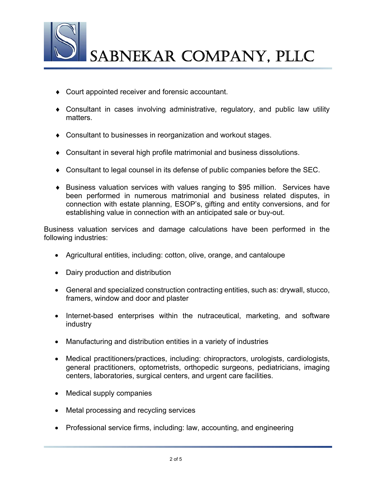

- ◆ Court appointed receiver and forensic accountant.
- Consultant in cases involving administrative, regulatory, and public law utility matters.
- Consultant to businesses in reorganization and workout stages.
- Consultant in several high profile matrimonial and business dissolutions.
- Consultant to legal counsel in its defense of public companies before the SEC.
- Business valuation services with values ranging to \$95 million. Services have been performed in numerous matrimonial and business related disputes, in connection with estate planning, ESOP's, gifting and entity conversions, and for establishing value in connection with an anticipated sale or buy-out.

Business valuation services and damage calculations have been performed in the following industries:

- Agricultural entities, including: cotton, olive, orange, and cantaloupe
- Dairy production and distribution
- General and specialized construction contracting entities, such as: drywall, stucco, framers, window and door and plaster
- Internet-based enterprises within the nutraceutical, marketing, and software industry
- Manufacturing and distribution entities in a variety of industries
- Medical practitioners/practices, including: chiropractors, urologists, cardiologists, general practitioners, optometrists, orthopedic surgeons, pediatricians, imaging centers, laboratories, surgical centers, and urgent care facilities.
- Medical supply companies
- Metal processing and recycling services
- Professional service firms, including: law, accounting, and engineering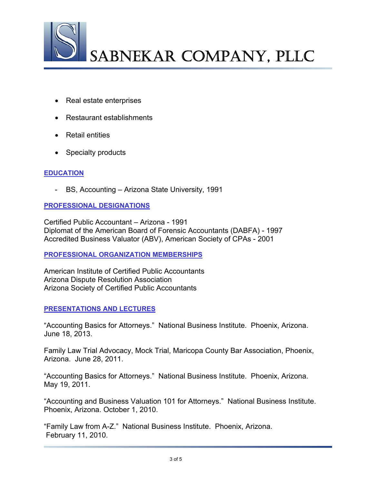

- Real estate enterprises
- Restaurant establishments
- Retail entities
- Specialty products

# **EDUCATION**

- BS, Accounting – Arizona State University, 1991

# **PROFESSIONAL DESIGNATIONS**

Certified Public Accountant – Arizona - 1991 Diplomat of the American Board of Forensic Accountants (DABFA) - 1997 Accredited Business Valuator (ABV), American Society of CPAs - 2001

## **PROFESSIONAL ORGANIZATION MEMBERSHIPS**

American Institute of Certified Public Accountants Arizona Dispute Resolution Association Arizona Society of Certified Public Accountants

## **PRESENTATIONS AND LECTURES**

"Accounting Basics for Attorneys." National Business Institute. Phoenix, Arizona. June 18, 2013.

Family Law Trial Advocacy, Mock Trial, Maricopa County Bar Association, Phoenix, Arizona. June 28, 2011.

"Accounting Basics for Attorneys." National Business Institute. Phoenix, Arizona. May 19, 2011.

"Accounting and Business Valuation 101 for Attorneys." National Business Institute. Phoenix, Arizona. October 1, 2010.

"Family Law from A-Z." National Business Institute. Phoenix, Arizona. February 11, 2010.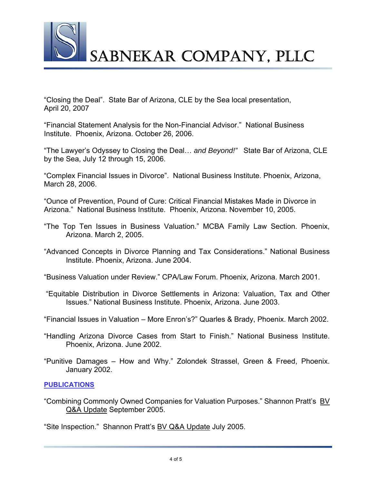

"Closing the Deal". State Bar of Arizona, CLE by the Sea local presentation, April 20, 2007

"Financial Statement Analysis for the Non-Financial Advisor." National Business Institute. Phoenix, Arizona. October 26, 2006.

"The Lawyer's Odyssey to Closing the Deal… *and Beyond!"* State Bar of Arizona, CLE by the Sea, July 12 through 15, 2006.

"Complex Financial Issues in Divorce". National Business Institute. Phoenix, Arizona, March 28, 2006.

"Ounce of Prevention, Pound of Cure: Critical Financial Mistakes Made in Divorce in Arizona." National Business Institute. Phoenix, Arizona. November 10, 2005.

- "The Top Ten Issues in Business Valuation." MCBA Family Law Section. Phoenix, Arizona. March 2, 2005.
- "Advanced Concepts in Divorce Planning and Tax Considerations." National Business Institute. Phoenix, Arizona. June 2004.

"Business Valuation under Review." CPA/Law Forum. Phoenix, Arizona. March 2001.

 "Equitable Distribution in Divorce Settlements in Arizona: Valuation, Tax and Other Issues." National Business Institute. Phoenix, Arizona. June 2003.

"Financial Issues in Valuation – More Enron's?" Quarles & Brady, Phoenix. March 2002.

- "Handling Arizona Divorce Cases from Start to Finish." National Business Institute. Phoenix, Arizona. June 2002.
- "Punitive Damages How and Why." Zolondek Strassel, Green & Freed, Phoenix. January 2002.

## **PUBLICATIONS**

"Combining Commonly Owned Companies for Valuation Purposes." Shannon Pratt's BV Q&A Update September 2005.

"Site Inspection." Shannon Pratt's BV Q&A Update July 2005.